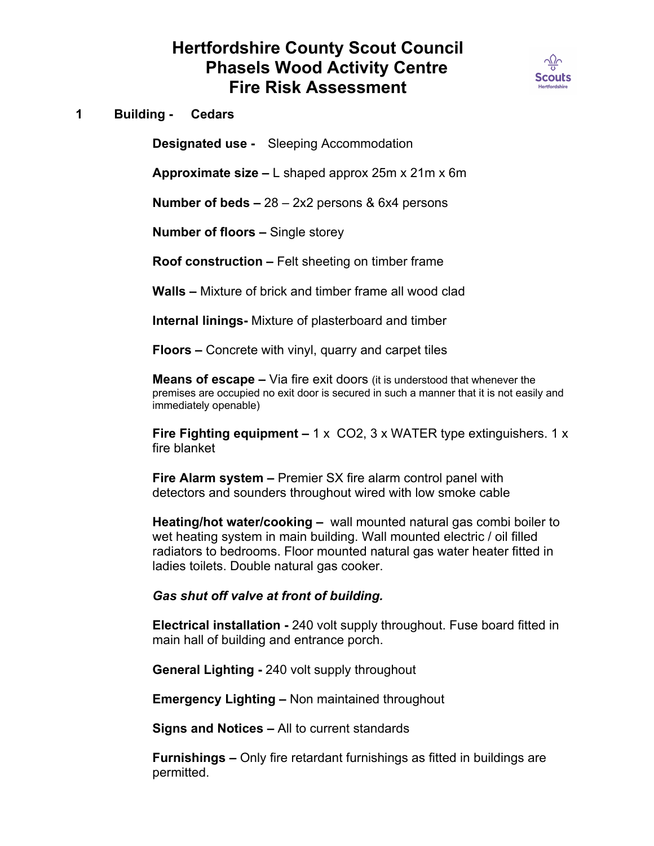## **Hertfordshire County Scout Council Phasels Wood Activity Centre Fire Risk Assessment**



**1 Building - Cedars**

**Designated use -** Sleeping Accommodation

**Approximate size –** L shaped approx 25m x 21m x 6m

**Number of beds –** 28 – 2x2 persons & 6x4 persons

**Number of floors –** Single storey

**Roof construction –** Felt sheeting on timber frame

**Walls –** Mixture of brick and timber frame all wood clad

**Internal linings-** Mixture of plasterboard and timber

**Floors –** Concrete with vinyl, quarry and carpet tiles

**Means of escape –** Via fire exit doors (it is understood that whenever the premises are occupied no exit door is secured in such a manner that it is not easily and immediately openable)

**Fire Fighting equipment –** 1 x CO2, 3 x WATER type extinguishers. 1 x fire blanket

**Fire Alarm system –** Premier SX fire alarm control panel with detectors and sounders throughout wired with low smoke cable

**Heating/hot water/cooking –** wall mounted natural gas combi boiler to wet heating system in main building. Wall mounted electric / oil filled radiators to bedrooms. Floor mounted natural gas water heater fitted in ladies toilets. Double natural gas cooker.

## *Gas shut off valve at front of building.*

**Electrical installation -** 240 volt supply throughout. Fuse board fitted in main hall of building and entrance porch.

**General Lighting -** 240 volt supply throughout

**Emergency Lighting –** Non maintained throughout

**Signs and Notices –** All to current standards

**Furnishings –** Only fire retardant furnishings as fitted in buildings are permitted.